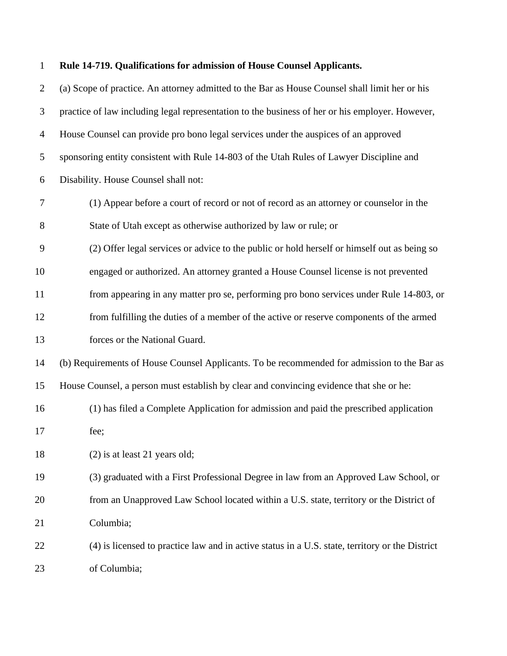| $\mathbf{1}$   | Rule 14-719. Qualifications for admission of House Counsel Applicants.                          |
|----------------|-------------------------------------------------------------------------------------------------|
| $\overline{2}$ | (a) Scope of practice. An attorney admitted to the Bar as House Counsel shall limit her or his  |
| 3              | practice of law including legal representation to the business of her or his employer. However, |
| $\overline{4}$ | House Counsel can provide pro bono legal services under the auspices of an approved             |
| 5              | sponsoring entity consistent with Rule 14-803 of the Utah Rules of Lawyer Discipline and        |
| 6              | Disability. House Counsel shall not:                                                            |
| $\tau$         | (1) Appear before a court of record or not of record as an attorney or counselor in the         |
| 8              | State of Utah except as otherwise authorized by law or rule; or                                 |
| 9              | (2) Offer legal services or advice to the public or hold herself or himself out as being so     |
| 10             | engaged or authorized. An attorney granted a House Counsel license is not prevented             |
| 11             | from appearing in any matter pro se, performing pro bono services under Rule 14-803, or         |
| 12             | from fulfilling the duties of a member of the active or reserve components of the armed         |
| 13             | forces or the National Guard.                                                                   |
| 14             | (b) Requirements of House Counsel Applicants. To be recommended for admission to the Bar as     |
| 15             | House Counsel, a person must establish by clear and convincing evidence that she or he:         |
| 16             | (1) has filed a Complete Application for admission and paid the prescribed application          |
| 17             | fee;                                                                                            |
| 18             | $(2)$ is at least 21 years old;                                                                 |
| 19             | (3) graduated with a First Professional Degree in law from an Approved Law School, or           |
| 20             | from an Unapproved Law School located within a U.S. state, territory or the District of         |
| 21             | Columbia;                                                                                       |
| 22             | (4) is licensed to practice law and in active status in a U.S. state, territory or the District |
| 23             | of Columbia;                                                                                    |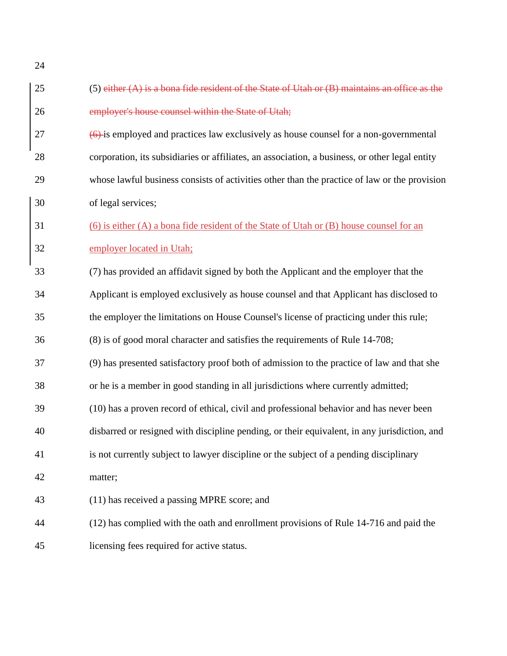| 25 | $(5)$ either $(A)$ is a bona fide resident of the State of Utah or $(B)$ maintains an office as the          |
|----|--------------------------------------------------------------------------------------------------------------|
| 26 | employer's house counsel within the State of Utah;                                                           |
| 27 | $\left(\frac{6}{2}\right)$ is employed and practices law exclusively as house counsel for a non-governmental |
| 28 | corporation, its subsidiaries or affiliates, an association, a business, or other legal entity               |
| 29 | whose lawful business consists of activities other than the practice of law or the provision                 |
| 30 | of legal services;                                                                                           |
| 31 | (6) is either (A) a bona fide resident of the State of Utah or (B) house counsel for an                      |
| 32 | employer located in Utah;                                                                                    |
| 33 | (7) has provided an affidavit signed by both the Applicant and the employer that the                         |
| 34 | Applicant is employed exclusively as house counsel and that Applicant has disclosed to                       |
| 35 | the employer the limitations on House Counsel's license of practicing under this rule;                       |
| 36 | (8) is of good moral character and satisfies the requirements of Rule 14-708;                                |
| 37 | (9) has presented satisfactory proof both of admission to the practice of law and that she                   |
| 38 | or he is a member in good standing in all jurisdictions where currently admitted;                            |
| 39 | (10) has a proven record of ethical, civil and professional behavior and has never been                      |
| 40 | disbarred or resigned with discipline pending, or their equivalent, in any jurisdiction, and                 |
| 41 | is not currently subject to lawyer discipline or the subject of a pending disciplinary                       |
| 42 | matter;                                                                                                      |
| 43 | (11) has received a passing MPRE score; and                                                                  |
| 44 | (12) has complied with the oath and enrollment provisions of Rule 14-716 and paid the                        |
| 45 | licensing fees required for active status.                                                                   |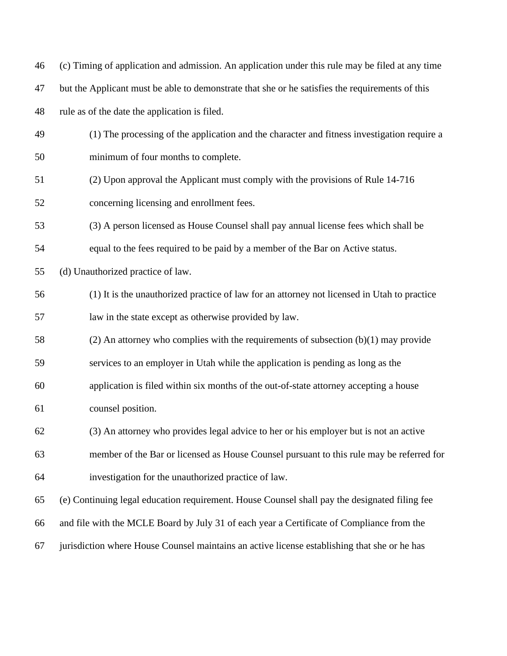| 46 | (c) Timing of application and admission. An application under this rule may be filed at any time |
|----|--------------------------------------------------------------------------------------------------|
| 47 | but the Applicant must be able to demonstrate that she or he satisfies the requirements of this  |
| 48 | rule as of the date the application is filed.                                                    |
| 49 | (1) The processing of the application and the character and fitness investigation require a      |
| 50 | minimum of four months to complete.                                                              |
| 51 | (2) Upon approval the Applicant must comply with the provisions of Rule 14-716                   |
| 52 | concerning licensing and enrollment fees.                                                        |
| 53 | (3) A person licensed as House Counsel shall pay annual license fees which shall be              |
| 54 | equal to the fees required to be paid by a member of the Bar on Active status.                   |
| 55 | (d) Unauthorized practice of law.                                                                |
| 56 | (1) It is the unauthorized practice of law for an attorney not licensed in Utah to practice      |
| 57 | law in the state except as otherwise provided by law.                                            |
| 58 | $(2)$ An attorney who complies with the requirements of subsection $(b)(1)$ may provide          |
| 59 | services to an employer in Utah while the application is pending as long as the                  |
| 60 | application is filed within six months of the out-of-state attorney accepting a house            |
| 61 | counsel position.                                                                                |
| 62 | (3) An attorney who provides legal advice to her or his employer but is not an active            |
| 63 | member of the Bar or licensed as House Counsel pursuant to this rule may be referred for         |
| 64 | investigation for the unauthorized practice of law.                                              |
| 65 | (e) Continuing legal education requirement. House Counsel shall pay the designated filing fee    |
| 66 | and file with the MCLE Board by July 31 of each year a Certificate of Compliance from the        |
| 67 | jurisdiction where House Counsel maintains an active license establishing that she or he has     |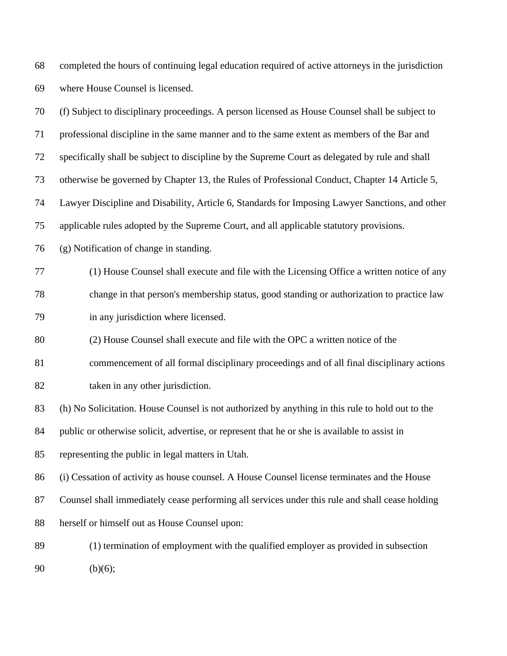completed the hours of continuing legal education required of active attorneys in the jurisdiction where House Counsel is licensed.

(f) Subject to disciplinary proceedings. A person licensed as House Counsel shall be subject to

 professional discipline in the same manner and to the same extent as members of the Bar and specifically shall be subject to discipline by the Supreme Court as delegated by rule and shall otherwise be governed by Chapter 13, the Rules of Professional Conduct, Chapter 14 Article 5, Lawyer Discipline and Disability, Article 6, Standards for Imposing Lawyer Sanctions, and other applicable rules adopted by the Supreme Court, and all applicable statutory provisions.

(g) Notification of change in standing.

 (1) House Counsel shall execute and file with the Licensing Office a written notice of any change in that person's membership status, good standing or authorization to practice law in any jurisdiction where licensed.

(2) House Counsel shall execute and file with the OPC a written notice of the

commencement of all formal disciplinary proceedings and of all final disciplinary actions

82 taken in any other jurisdiction.

(h) No Solicitation. House Counsel is not authorized by anything in this rule to hold out to the

public or otherwise solicit, advertise, or represent that he or she is available to assist in

representing the public in legal matters in Utah.

(i) Cessation of activity as house counsel. A House Counsel license terminates and the House

Counsel shall immediately cease performing all services under this rule and shall cease holding

herself or himself out as House Counsel upon:

 (1) termination of employment with the qualified employer as provided in subsection (b)(6);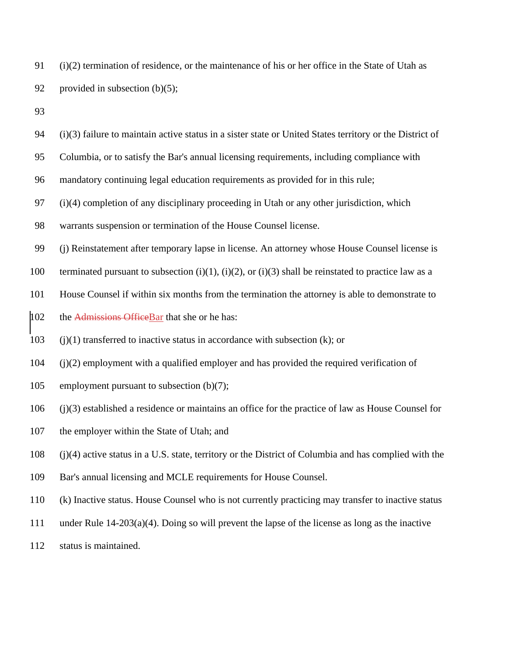| 91 (i)(2) termination of residence, or the maintenance of his or her office in the State of Utah as |
|-----------------------------------------------------------------------------------------------------|
| 92 provided in subsection $(b)(5)$ ;                                                                |

 (i)(3) failure to maintain active status in a sister state or United States territory or the District of Columbia, or to satisfy the Bar's annual licensing requirements, including compliance with mandatory continuing legal education requirements as provided for in this rule; (i)(4) completion of any disciplinary proceeding in Utah or any other jurisdiction, which warrants suspension or termination of the House Counsel license. (j) Reinstatement after temporary lapse in license. An attorney whose House Counsel license is 100 terminated pursuant to subsection (i)(1), (i)(2), or (i)(3) shall be reinstated to practice law as a House Counsel if within six months from the termination the attorney is able to demonstrate to 102 the Admissions OfficeBar that she or he has: (j)(1) transferred to inactive status in accordance with subsection (k); or (j)(2) employment with a qualified employer and has provided the required verification of employment pursuant to subsection (b)(7); (j)(3) established a residence or maintains an office for the practice of law as House Counsel for the employer within the State of Utah; and (j)(4) active status in a U.S. state, territory or the District of Columbia and has complied with the Bar's annual licensing and MCLE requirements for House Counsel. (k) Inactive status. House Counsel who is not currently practicing may transfer to inactive status under Rule 14-203(a)(4). Doing so will prevent the lapse of the license as long as the inactive

status is maintained.